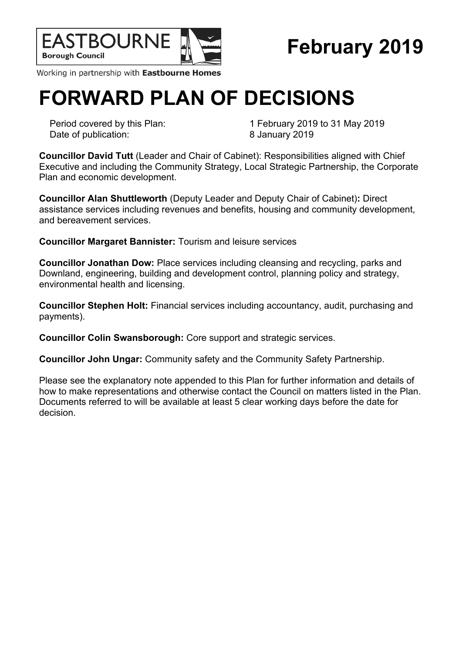

# **February 2019**

Working in partnership with Eastbourne Homes

# **FORWARD PLAN OF DECISIONS**

Date of publication: 8 January 2019

Period covered by this Plan: 1 February 2019 to 31 May 2019

**Councillor David Tutt** (Leader and Chair of Cabinet): Responsibilities aligned with Chief Executive and including the Community Strategy, Local Strategic Partnership, the Corporate Plan and economic development.

**Councillor Alan Shuttleworth** (Deputy Leader and Deputy Chair of Cabinet)**:** Direct assistance services including revenues and benefits, housing and community development, and bereavement services.

**Councillor Margaret Bannister:** Tourism and leisure services

**Councillor Jonathan Dow:** Place services including cleansing and recycling, parks and Downland, engineering, building and development control, planning policy and strategy, environmental health and licensing.

**Councillor Stephen Holt:** Financial services including accountancy, audit, purchasing and payments).

**Councillor Colin Swansborough:** Core support and strategic services.

**Councillor John Ungar:** Community safety and the Community Safety Partnership.

Please see the explanatory note appended to this Plan for further information and details of how to make representations and otherwise contact the Council on matters listed in the Plan. Documents referred to will be available at least 5 clear working days before the date for decision.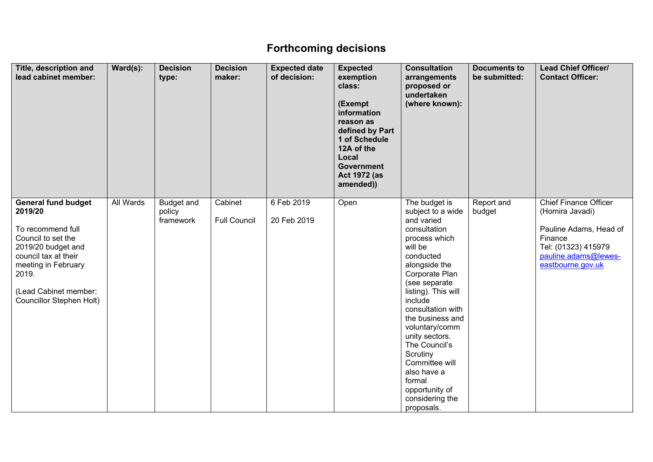| Title, description and<br>lead cabinet member:                                                                                                                                                                      | $\textsf{Ward}(s)$ : | <b>Decision</b><br>type:                 | <b>Decision</b><br>maker:      | <b>Expected date</b><br>of decision: | <b>Expected</b><br>exemption<br>class:<br>(Exempt<br>information<br>reason as<br>defined by Part<br>1 of Schedule<br>12A of the<br>Local<br><b>Government</b><br><b>Act 1972 (as</b><br>amended)) | <b>Consultation</b><br>arrangements<br>proposed or<br>undertaken<br>(where known):                                                                                                                                                                                                                                                                                                                      | <b>Documents to</b><br>be submitted: | <b>Lead Chief Officer/</b><br><b>Contact Officer:</b>                                                                                                    |
|---------------------------------------------------------------------------------------------------------------------------------------------------------------------------------------------------------------------|----------------------|------------------------------------------|--------------------------------|--------------------------------------|---------------------------------------------------------------------------------------------------------------------------------------------------------------------------------------------------|---------------------------------------------------------------------------------------------------------------------------------------------------------------------------------------------------------------------------------------------------------------------------------------------------------------------------------------------------------------------------------------------------------|--------------------------------------|----------------------------------------------------------------------------------------------------------------------------------------------------------|
| <b>General fund budget</b><br>2019/20<br>To recommend full<br>Council to set the<br>2019/20 budget and<br>council tax at their<br>meeting in February<br>2019.<br>(Lead Cabinet member:<br>Councillor Stephen Holt) | All Wards            | <b>Budget and</b><br>policy<br>framework | Cabinet<br><b>Full Council</b> | 6 Feb 2019<br>20 Feb 2019            | Open                                                                                                                                                                                              | The budget is<br>subject to a wide<br>and varied<br>consultation<br>process which<br>will be<br>conducted<br>alongside the<br>Corporate Plan<br>(see separate<br>listing). This will<br>include<br>consultation with<br>the business and<br>voluntary/comm<br>unity sectors.<br>The Council's<br>Scrutiny<br>Committee will<br>also have a<br>formal<br>opportunity of<br>considering the<br>proposals. | Report and<br>budget                 | <b>Chief Finance Officer</b><br>(Homira Javadi)<br>Pauline Adams, Head of<br>Finance<br>Tel: (01323) 415979<br>pauline.adams@lewes-<br>eastbourne.gov.uk |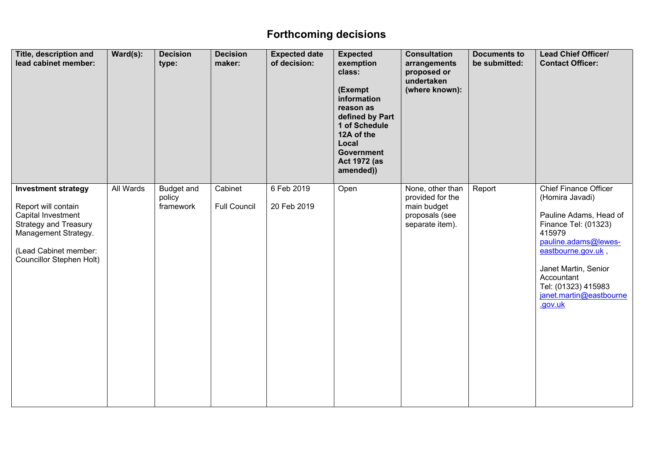| Title, description and<br>lead cabinet member:                                                                                                                                       | $\textsf{Ward}(s)$ : | <b>Decision</b><br>type:                 | <b>Decision</b><br>maker:      | <b>Expected date</b><br>of decision: | <b>Expected</b><br>exemption<br>class:<br>(Exempt<br>information<br>reason as<br>defined by Part<br>1 of Schedule<br>12A of the<br>Local<br><b>Government</b><br><b>Act 1972 (as</b><br>amended)) | <b>Consultation</b><br>arrangements<br>proposed or<br>undertaken<br>(where known):       | <b>Documents to</b><br>be submitted: | <b>Lead Chief Officer/</b><br><b>Contact Officer:</b>                                                                                                                                                                                                 |
|--------------------------------------------------------------------------------------------------------------------------------------------------------------------------------------|----------------------|------------------------------------------|--------------------------------|--------------------------------------|---------------------------------------------------------------------------------------------------------------------------------------------------------------------------------------------------|------------------------------------------------------------------------------------------|--------------------------------------|-------------------------------------------------------------------------------------------------------------------------------------------------------------------------------------------------------------------------------------------------------|
| <b>Investment strategy</b><br>Report will contain<br>Capital Investment<br><b>Strategy and Treasury</b><br>Management Strategy.<br>(Lead Cabinet member:<br>Councillor Stephen Holt) | All Wards            | <b>Budget and</b><br>policy<br>framework | Cabinet<br><b>Full Council</b> | 6 Feb 2019<br>20 Feb 2019            | Open                                                                                                                                                                                              | None, other than<br>provided for the<br>main budget<br>proposals (see<br>separate item). | Report                               | Chief Finance Officer<br>(Homira Javadi)<br>Pauline Adams, Head of<br>Finance Tel: (01323)<br>415979<br>pauline.adams@lewes-<br>eastbourne.gov.uk,<br>Janet Martin, Senior<br>Accountant<br>Tel: (01323) 415983<br>janet.martin@eastbourne<br>.gov.uk |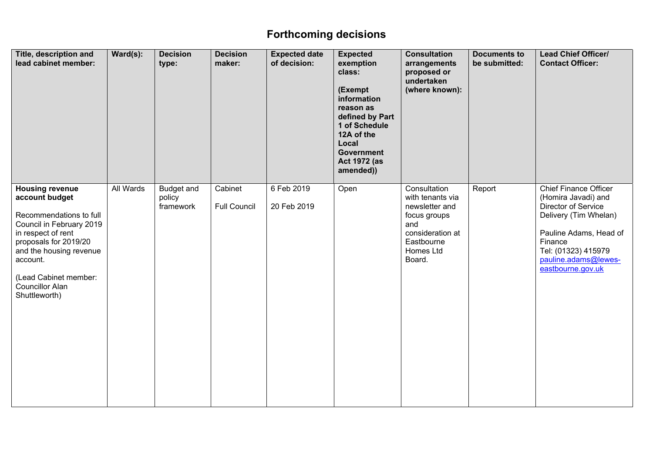| Title, description and<br>lead cabinet member:                                                                                                                                                                                                            | $\textsf{Ward}(s)$ : | <b>Decision</b><br>type:                 | <b>Decision</b><br>maker:      | <b>Expected date</b><br>of decision: | <b>Expected</b><br>exemption<br>class:<br>(Exempt<br>information<br>reason as<br>defined by Part<br>1 of Schedule<br>12A of the<br>Local<br><b>Government</b><br><b>Act 1972 (as</b><br>amended)) | <b>Consultation</b><br>arrangements<br>proposed or<br>undertaken<br>(where known):                                                 | <b>Documents to</b><br>be submitted: | <b>Lead Chief Officer/</b><br><b>Contact Officer:</b>                                                                                                                                                        |
|-----------------------------------------------------------------------------------------------------------------------------------------------------------------------------------------------------------------------------------------------------------|----------------------|------------------------------------------|--------------------------------|--------------------------------------|---------------------------------------------------------------------------------------------------------------------------------------------------------------------------------------------------|------------------------------------------------------------------------------------------------------------------------------------|--------------------------------------|--------------------------------------------------------------------------------------------------------------------------------------------------------------------------------------------------------------|
| <b>Housing revenue</b><br>account budget<br>Recommendations to full<br>Council in February 2019<br>in respect of rent<br>proposals for 2019/20<br>and the housing revenue<br>account.<br>(Lead Cabinet member:<br><b>Councillor Alan</b><br>Shuttleworth) | All Wards            | <b>Budget and</b><br>policy<br>framework | Cabinet<br><b>Full Council</b> | 6 Feb 2019<br>20 Feb 2019            | Open                                                                                                                                                                                              | Consultation<br>with tenants via<br>newsletter and<br>focus groups<br>and<br>consideration at<br>Eastbourne<br>Homes Ltd<br>Board. | Report                               | <b>Chief Finance Officer</b><br>(Homira Javadi) and<br>Director of Service<br>Delivery (Tim Whelan)<br>Pauline Adams, Head of<br>Finance<br>Tel: (01323) 415979<br>pauline.adams@lewes-<br>eastbourne.gov.uk |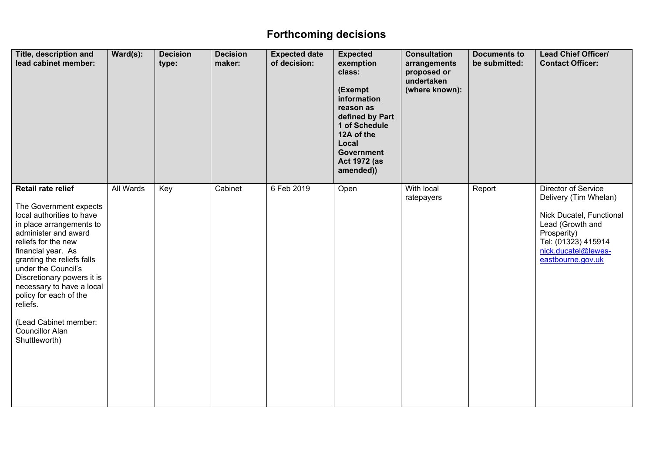| Title, description and<br>lead cabinet member:                                                                                                                                                                                                                                                                                                                                                              | $\textsf{Ward}(s)$ : | <b>Decision</b><br>type: | <b>Decision</b><br>maker: | <b>Expected date</b><br>of decision: | <b>Expected</b><br>exemption<br>class:<br>(Exempt<br>information<br>reason as<br>defined by Part<br>1 of Schedule<br>12A of the<br>Local<br><b>Government</b><br><b>Act 1972 (as</b><br>amended)) | <b>Consultation</b><br>arrangements<br>proposed or<br>undertaken<br>(where known): | <b>Documents to</b><br>be submitted: | <b>Lead Chief Officer/</b><br><b>Contact Officer:</b>                                                                                                                          |
|-------------------------------------------------------------------------------------------------------------------------------------------------------------------------------------------------------------------------------------------------------------------------------------------------------------------------------------------------------------------------------------------------------------|----------------------|--------------------------|---------------------------|--------------------------------------|---------------------------------------------------------------------------------------------------------------------------------------------------------------------------------------------------|------------------------------------------------------------------------------------|--------------------------------------|--------------------------------------------------------------------------------------------------------------------------------------------------------------------------------|
| <b>Retail rate relief</b><br>The Government expects<br>local authorities to have<br>in place arrangements to<br>administer and award<br>reliefs for the new<br>financial year. As<br>granting the reliefs falls<br>under the Council's<br>Discretionary powers it is<br>necessary to have a local<br>policy for each of the<br>reliefs.<br>(Lead Cabinet member:<br><b>Councillor Alan</b><br>Shuttleworth) | All Wards            | Key                      | Cabinet                   | 6 Feb 2019                           | Open                                                                                                                                                                                              | With local<br>ratepayers                                                           | Report                               | Director of Service<br>Delivery (Tim Whelan)<br>Nick Ducatel, Functional<br>Lead (Growth and<br>Prosperity)<br>Tel: (01323) 415914<br>nick.ducatel@lewes-<br>eastbourne.gov.uk |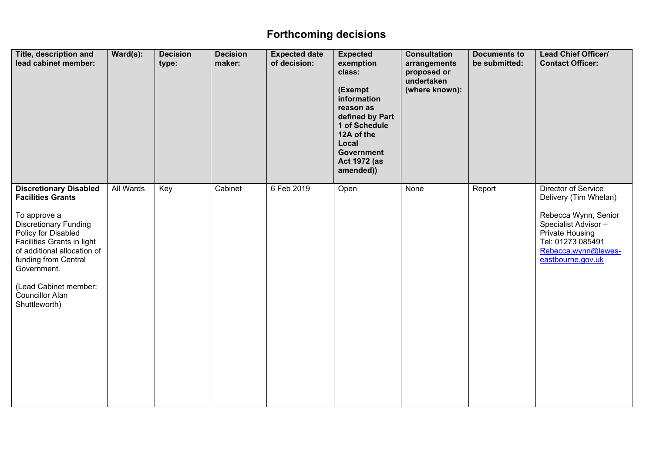| Title, description and<br>lead cabinet member:                                                                                                                                                                                                                                                           | $\textsf{Ward}(s)$ : | <b>Decision</b><br>type: | <b>Decision</b><br>maker: | <b>Expected date</b><br>of decision: | <b>Expected</b><br>exemption<br>class:<br>(Exempt<br>information<br>reason as<br>defined by Part<br>1 of Schedule<br>12A of the<br>Local<br><b>Government</b><br><b>Act 1972 (as</b><br>amended)) | <b>Consultation</b><br>arrangements<br>proposed or<br>undertaken<br>(where known): | <b>Documents to</b><br>be submitted: | <b>Lead Chief Officer/</b><br><b>Contact Officer:</b>                                                                                                                                   |
|----------------------------------------------------------------------------------------------------------------------------------------------------------------------------------------------------------------------------------------------------------------------------------------------------------|----------------------|--------------------------|---------------------------|--------------------------------------|---------------------------------------------------------------------------------------------------------------------------------------------------------------------------------------------------|------------------------------------------------------------------------------------|--------------------------------------|-----------------------------------------------------------------------------------------------------------------------------------------------------------------------------------------|
| <b>Discretionary Disabled</b><br><b>Facilities Grants</b><br>To approve a<br><b>Discretionary Funding</b><br>Policy for Disabled<br>Facilities Grants in light<br>of additional allocation of<br>funding from Central<br>Government.<br>(Lead Cabinet member:<br><b>Councillor Alan</b><br>Shuttleworth) | All Wards            | Key                      | Cabinet                   | 6 Feb 2019                           | Open                                                                                                                                                                                              | None                                                                               | Report                               | Director of Service<br>Delivery (Tim Whelan)<br>Rebecca Wynn, Senior<br>Specialist Advisor -<br><b>Private Housing</b><br>Tel: 01273 085491<br>Rebecca.wynn@lewes-<br>eastbourne.gov.uk |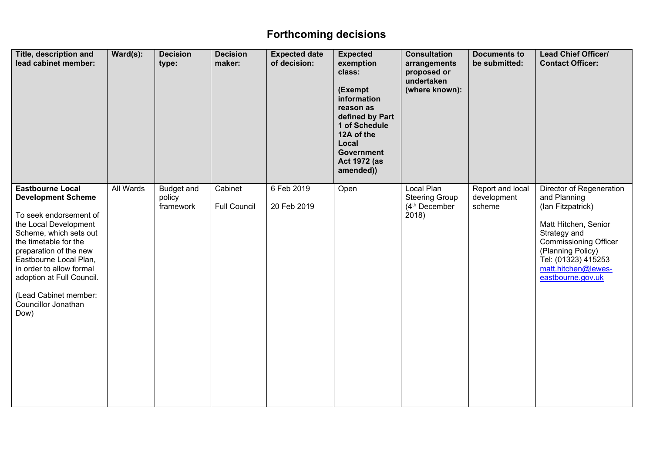| Title, description and<br>lead cabinet member:                                                                                                                                                                                                                                                                                  | $\textsf{Ward}(s)$ : | <b>Decision</b><br>type:                 | <b>Decision</b><br>maker:      | <b>Expected date</b><br>of decision: | <b>Expected</b><br>exemption<br>class:<br>(Exempt<br>information<br>reason as<br>defined by Part<br>1 of Schedule<br>12A of the<br>Local<br><b>Government</b><br><b>Act 1972 (as</b><br>amended)) | <b>Consultation</b><br>arrangements<br>proposed or<br>undertaken<br>(where known): | <b>Documents to</b><br>be submitted:      | <b>Lead Chief Officer/</b><br><b>Contact Officer:</b>                                                                                                                                                                         |
|---------------------------------------------------------------------------------------------------------------------------------------------------------------------------------------------------------------------------------------------------------------------------------------------------------------------------------|----------------------|------------------------------------------|--------------------------------|--------------------------------------|---------------------------------------------------------------------------------------------------------------------------------------------------------------------------------------------------|------------------------------------------------------------------------------------|-------------------------------------------|-------------------------------------------------------------------------------------------------------------------------------------------------------------------------------------------------------------------------------|
| <b>Eastbourne Local</b><br><b>Development Scheme</b><br>To seek endorsement of<br>the Local Development<br>Scheme, which sets out<br>the timetable for the<br>preparation of the new<br>Eastbourne Local Plan,<br>in order to allow formal<br>adoption at Full Council.<br>(Lead Cabinet member:<br>Councillor Jonathan<br>Dow) | <b>All Wards</b>     | <b>Budget and</b><br>policy<br>framework | Cabinet<br><b>Full Council</b> | 6 Feb 2019<br>20 Feb 2019            | Open                                                                                                                                                                                              | Local Plan<br><b>Steering Group</b><br>(4 <sup>th</sup> December<br>2018)          | Report and local<br>development<br>scheme | Director of Regeneration<br>and Planning<br>(lan Fitzpatrick)<br>Matt Hitchen, Senior<br>Strategy and<br><b>Commissioning Officer</b><br>(Planning Policy)<br>Tel: (01323) 415253<br>matt.hitchen@lewes-<br>eastbourne.gov.uk |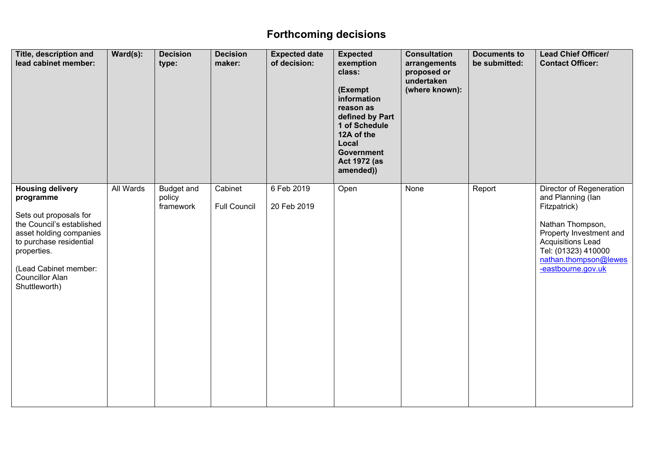| Title, description and<br>lead cabinet member:                                                                                                                                                                                       | $\textsf{Ward}(s)$ : | <b>Decision</b><br>type:                 | <b>Decision</b><br>maker:      | <b>Expected date</b><br>of decision: | <b>Expected</b><br>exemption<br>class:<br>(Exempt<br>information<br>reason as<br>defined by Part<br>1 of Schedule<br>12A of the<br>Local<br><b>Government</b><br><b>Act 1972 (as</b><br>amended)) | <b>Consultation</b><br>arrangements<br>proposed or<br>undertaken<br>(where known): | <b>Documents to</b><br>be submitted: | <b>Lead Chief Officer/</b><br><b>Contact Officer:</b>                                                                                                                                                          |
|--------------------------------------------------------------------------------------------------------------------------------------------------------------------------------------------------------------------------------------|----------------------|------------------------------------------|--------------------------------|--------------------------------------|---------------------------------------------------------------------------------------------------------------------------------------------------------------------------------------------------|------------------------------------------------------------------------------------|--------------------------------------|----------------------------------------------------------------------------------------------------------------------------------------------------------------------------------------------------------------|
| <b>Housing delivery</b><br>programme<br>Sets out proposals for<br>the Council's established<br>asset holding companies<br>to purchase residential<br>properties.<br>(Lead Cabinet member:<br><b>Councillor Alan</b><br>Shuttleworth) | <b>All Wards</b>     | <b>Budget and</b><br>policy<br>framework | Cabinet<br><b>Full Council</b> | 6 Feb 2019<br>20 Feb 2019            | Open                                                                                                                                                                                              | None                                                                               | Report                               | Director of Regeneration<br>and Planning (lan<br>Fitzpatrick)<br>Nathan Thompson,<br>Property Investment and<br><b>Acquisitions Lead</b><br>Tel: (01323) 410000<br>nathan.thompson@lewes<br>-eastbourne.gov.uk |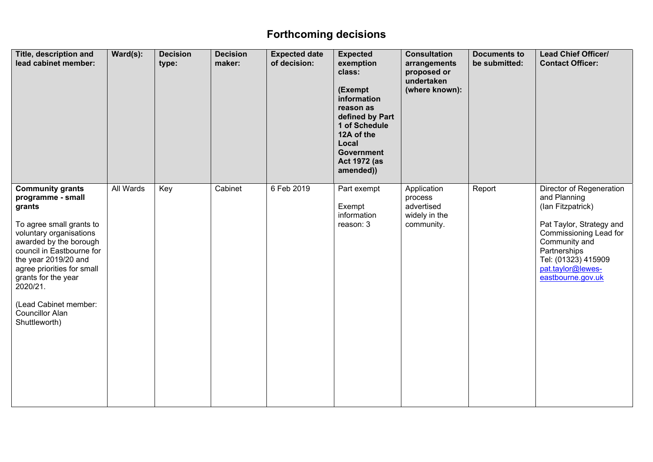| Title, description and<br>lead cabinet member:                                                                                                                                                                                                                                                                                    | $\textsf{Ward}(s)$ : | <b>Decision</b><br>type: | <b>Decision</b><br>maker: | <b>Expected date</b><br>of decision: | <b>Expected</b><br>exemption<br>class:<br>(Exempt<br>information<br>reason as<br>defined by Part<br>1 of Schedule<br>12A of the<br>Local<br><b>Government</b><br><b>Act 1972 (as</b><br>amended)) | <b>Consultation</b><br>arrangements<br>proposed or<br>undertaken<br>(where known): | <b>Documents to</b><br>be submitted: | <b>Lead Chief Officer/</b><br><b>Contact Officer:</b>                                                                                                                                                                 |
|-----------------------------------------------------------------------------------------------------------------------------------------------------------------------------------------------------------------------------------------------------------------------------------------------------------------------------------|----------------------|--------------------------|---------------------------|--------------------------------------|---------------------------------------------------------------------------------------------------------------------------------------------------------------------------------------------------|------------------------------------------------------------------------------------|--------------------------------------|-----------------------------------------------------------------------------------------------------------------------------------------------------------------------------------------------------------------------|
| <b>Community grants</b><br>programme - small<br>grants<br>To agree small grants to<br>voluntary organisations<br>awarded by the borough<br>council in Eastbourne for<br>the year 2019/20 and<br>agree priorities for small<br>grants for the year<br>2020/21.<br>(Lead Cabinet member:<br><b>Councillor Alan</b><br>Shuttleworth) | All Wards            | Key                      | Cabinet                   | 6 Feb 2019                           | Part exempt<br>Exempt<br>information<br>reason: 3                                                                                                                                                 | Application<br>process<br>advertised<br>widely in the<br>community.                | Report                               | Director of Regeneration<br>and Planning<br>(lan Fitzpatrick)<br>Pat Taylor, Strategy and<br>Commissioning Lead for<br>Community and<br>Partnerships<br>Tel: (01323) 415909<br>pat.taylor@lewes-<br>eastbourne.gov.uk |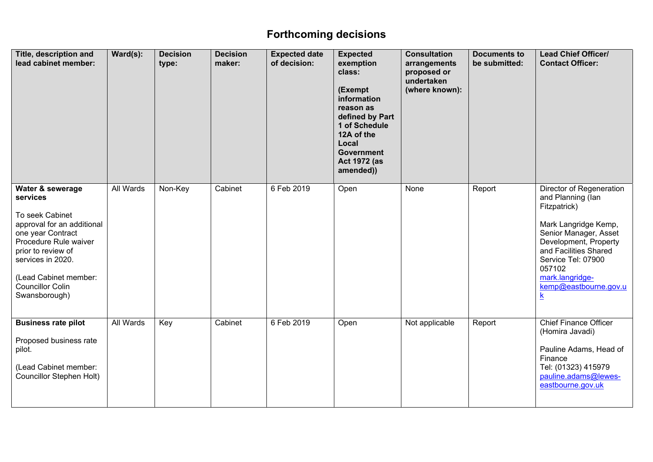| Title, description and<br>lead cabinet member:                                                                                                                                                                                              | $\textsf{Ward}(s)$ : | <b>Decision</b><br>type: | <b>Decision</b><br>maker: | <b>Expected date</b><br>of decision: | <b>Expected</b><br>exemption<br>class:<br>(Exempt<br>information<br>reason as<br>defined by Part<br>1 of Schedule<br>12A of the<br>Local<br><b>Government</b><br><b>Act 1972 (as</b><br>amended)) | <b>Consultation</b><br>arrangements<br>proposed or<br>undertaken<br>(where known): | <b>Documents to</b><br>be submitted: | <b>Lead Chief Officer/</b><br><b>Contact Officer:</b>                                                                                                                                                                                                           |
|---------------------------------------------------------------------------------------------------------------------------------------------------------------------------------------------------------------------------------------------|----------------------|--------------------------|---------------------------|--------------------------------------|---------------------------------------------------------------------------------------------------------------------------------------------------------------------------------------------------|------------------------------------------------------------------------------------|--------------------------------------|-----------------------------------------------------------------------------------------------------------------------------------------------------------------------------------------------------------------------------------------------------------------|
| Water & sewerage<br>services<br>To seek Cabinet<br>approval for an additional<br>one year Contract<br>Procedure Rule waiver<br>prior to review of<br>services in 2020.<br>(Lead Cabinet member:<br><b>Councillor Colin</b><br>Swansborough) | <b>All Wards</b>     | Non-Key                  | Cabinet                   | 6 Feb 2019                           | Open                                                                                                                                                                                              | None                                                                               | Report                               | Director of Regeneration<br>and Planning (lan<br>Fitzpatrick)<br>Mark Langridge Kemp,<br>Senior Manager, Asset<br>Development, Property<br>and Facilities Shared<br>Service Tel: 07900<br>057102<br>mark.langridge-<br>kemp@eastbourne.gov.u<br>$\underline{k}$ |
| <b>Business rate pilot</b><br>Proposed business rate<br>pilot.<br>(Lead Cabinet member:<br><b>Councillor Stephen Holt)</b>                                                                                                                  | All Wards            | Key                      | Cabinet                   | 6 Feb 2019                           | Open                                                                                                                                                                                              | Not applicable                                                                     | Report                               | <b>Chief Finance Officer</b><br>(Homira Javadi)<br>Pauline Adams, Head of<br>Finance<br>Tel: (01323) 415979<br>pauline.adams@lewes-<br>eastbourne.gov.uk                                                                                                        |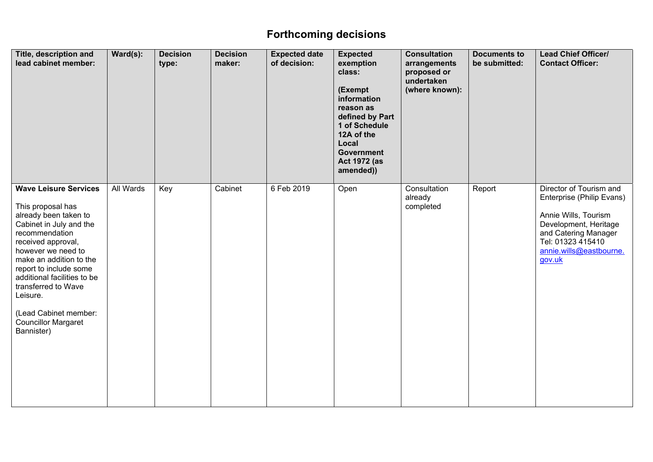| Title, description and<br>lead cabinet member:                                                                                                                                                                                                                                                                                                                  | $\textsf{Ward}(s)$ : | <b>Decision</b><br>type: | <b>Decision</b><br>maker: | <b>Expected date</b><br>of decision: | <b>Expected</b><br>exemption<br>class:<br>(Exempt<br>information<br>reason as<br>defined by Part<br>1 of Schedule<br>12A of the<br>Local<br><b>Government</b><br><b>Act 1972 (as</b><br>amended)) | <b>Consultation</b><br>arrangements<br>proposed or<br>undertaken<br>(where known): | <b>Documents to</b><br>be submitted: | <b>Lead Chief Officer/</b><br><b>Contact Officer:</b>                                                                                                                                   |
|-----------------------------------------------------------------------------------------------------------------------------------------------------------------------------------------------------------------------------------------------------------------------------------------------------------------------------------------------------------------|----------------------|--------------------------|---------------------------|--------------------------------------|---------------------------------------------------------------------------------------------------------------------------------------------------------------------------------------------------|------------------------------------------------------------------------------------|--------------------------------------|-----------------------------------------------------------------------------------------------------------------------------------------------------------------------------------------|
| <b>Wave Leisure Services</b><br>This proposal has<br>already been taken to<br>Cabinet in July and the<br>recommendation<br>received approval,<br>however we need to<br>make an addition to the<br>report to include some<br>additional facilities to be<br>transferred to Wave<br>Leisure.<br>(Lead Cabinet member:<br><b>Councillor Margaret</b><br>Bannister) | <b>All Wards</b>     | Key                      | Cabinet                   | 6 Feb 2019                           | Open                                                                                                                                                                                              | Consultation<br>already<br>completed                                               | Report                               | Director of Tourism and<br>Enterprise (Philip Evans)<br>Annie Wills, Tourism<br>Development, Heritage<br>and Catering Manager<br>Tel: 01323 415410<br>annie.wills@eastbourne.<br>gov.uk |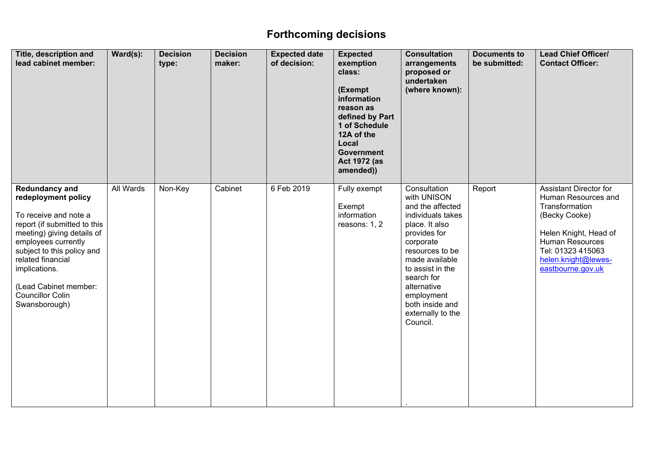| Title, description and<br>lead cabinet member:                                                                                                                                                                                                                                                      | $\textsf{Ward}(\textsf{s})$ : | <b>Decision</b><br>type: | <b>Decision</b><br>maker: | <b>Expected date</b><br>of decision: | <b>Expected</b><br>exemption<br>class:<br>(Exempt<br>information<br>reason as<br>defined by Part<br>1 of Schedule<br>12A of the<br>Local<br><b>Government</b><br><b>Act 1972 (as</b><br>amended)) | <b>Consultation</b><br>arrangements<br>proposed or<br>undertaken<br>(where known):                                                                                                                                                                                          | <b>Documents to</b><br>be submitted: | <b>Lead Chief Officer/</b><br><b>Contact Officer:</b>                                                                                                                                         |
|-----------------------------------------------------------------------------------------------------------------------------------------------------------------------------------------------------------------------------------------------------------------------------------------------------|-------------------------------|--------------------------|---------------------------|--------------------------------------|---------------------------------------------------------------------------------------------------------------------------------------------------------------------------------------------------|-----------------------------------------------------------------------------------------------------------------------------------------------------------------------------------------------------------------------------------------------------------------------------|--------------------------------------|-----------------------------------------------------------------------------------------------------------------------------------------------------------------------------------------------|
| <b>Redundancy and</b><br>redeployment policy<br>To receive and note a<br>report (if submitted to this<br>meeting) giving details of<br>employees currently<br>subject to this policy and<br>related financial<br>implications.<br>(Lead Cabinet member:<br><b>Councillor Colin</b><br>Swansborough) | <b>All Wards</b>              | Non-Key                  | Cabinet                   | 6 Feb 2019                           | Fully exempt<br>Exempt<br>information<br>reasons: 1, 2                                                                                                                                            | Consultation<br>with UNISON<br>and the affected<br>individuals takes<br>place. It also<br>provides for<br>corporate<br>resources to be<br>made available<br>to assist in the<br>search for<br>alternative<br>employment<br>both inside and<br>externally to the<br>Council. | Report                               | Assistant Director for<br>Human Resources and<br>Transformation<br>(Becky Cooke)<br>Helen Knight, Head of<br>Human Resources<br>Tel: 01323 415063<br>helen.knight@lewes-<br>eastbourne.gov.uk |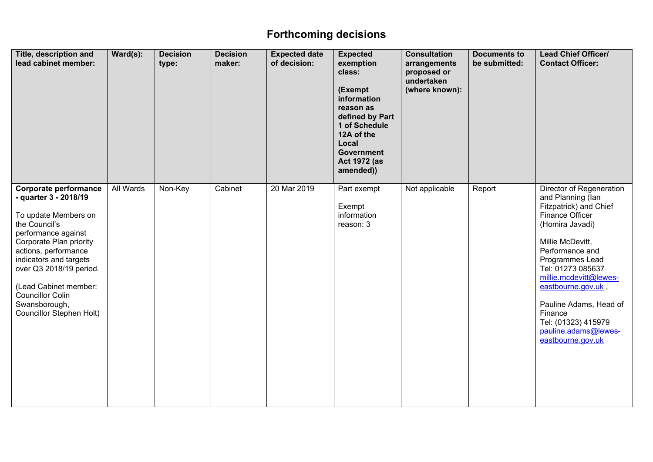| Title, description and<br>lead cabinet member:                                                                                                                                                                                                                                                                                 | $\textsf{Ward}(s)$ : | <b>Decision</b><br>type: | <b>Decision</b><br>maker: | <b>Expected date</b><br>of decision: | <b>Expected</b><br>exemption<br>class:<br>(Exempt<br>information<br>reason as<br>defined by Part<br>1 of Schedule<br>12A of the<br>Local<br><b>Government</b><br><b>Act 1972 (as</b><br>amended)) | <b>Consultation</b><br>arrangements<br>proposed or<br>undertaken<br>(where known): | <b>Documents to</b><br>be submitted: | <b>Lead Chief Officer/</b><br><b>Contact Officer:</b>                                                                                                                                                                                                                                                                                                 |
|--------------------------------------------------------------------------------------------------------------------------------------------------------------------------------------------------------------------------------------------------------------------------------------------------------------------------------|----------------------|--------------------------|---------------------------|--------------------------------------|---------------------------------------------------------------------------------------------------------------------------------------------------------------------------------------------------|------------------------------------------------------------------------------------|--------------------------------------|-------------------------------------------------------------------------------------------------------------------------------------------------------------------------------------------------------------------------------------------------------------------------------------------------------------------------------------------------------|
| Corporate performance<br>- quarter 3 - 2018/19<br>To update Members on<br>the Council's<br>performance against<br>Corporate Plan priority<br>actions, performance<br>indicators and targets<br>over Q3 2018/19 period.<br>(Lead Cabinet member:<br><b>Councillor Colin</b><br>Swansborough,<br><b>Councillor Stephen Holt)</b> | <b>All Wards</b>     | Non-Key                  | Cabinet                   | 20 Mar 2019                          | Part exempt<br>Exempt<br>information<br>reason: 3                                                                                                                                                 | Not applicable                                                                     | Report                               | Director of Regeneration<br>and Planning (lan<br>Fitzpatrick) and Chief<br>Finance Officer<br>(Homira Javadi)<br>Millie McDevitt,<br>Performance and<br>Programmes Lead<br>Tel: 01273 085637<br>millie.mcdevitt@lewes-<br>eastbourne.gov.uk,<br>Pauline Adams, Head of<br>Finance<br>Tel: (01323) 415979<br>pauline.adams@lewes-<br>eastbourne.gov.uk |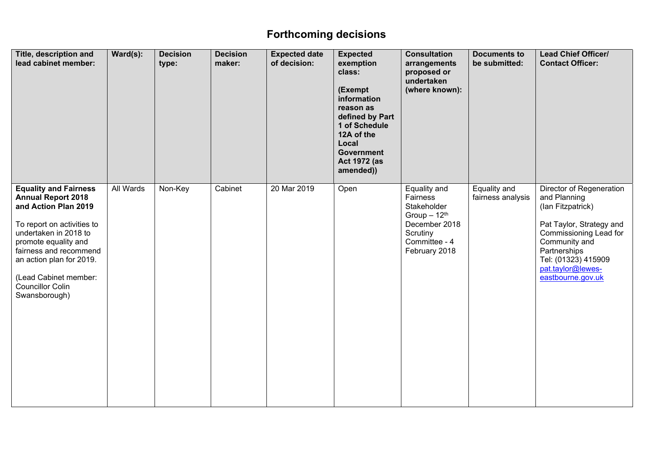| Title, description and<br>lead cabinet member:                                                                                                                                                                                                                                              | $\textsf{Ward}(\textsf{s})$ : | <b>Decision</b><br>type: | <b>Decision</b><br>maker: | <b>Expected date</b><br>of decision: | <b>Expected</b><br>exemption<br>class:<br>(Exempt<br>information<br>reason as<br>defined by Part<br>1 of Schedule<br>12A of the<br>Local<br><b>Government</b><br><b>Act 1972 (as</b><br>amended)) | <b>Consultation</b><br>arrangements<br>proposed or<br>undertaken<br>(where known):                                      | <b>Documents to</b><br>be submitted:     | <b>Lead Chief Officer/</b><br><b>Contact Officer:</b>                                                                                                                                                                 |
|---------------------------------------------------------------------------------------------------------------------------------------------------------------------------------------------------------------------------------------------------------------------------------------------|-------------------------------|--------------------------|---------------------------|--------------------------------------|---------------------------------------------------------------------------------------------------------------------------------------------------------------------------------------------------|-------------------------------------------------------------------------------------------------------------------------|------------------------------------------|-----------------------------------------------------------------------------------------------------------------------------------------------------------------------------------------------------------------------|
| <b>Equality and Fairness</b><br><b>Annual Report 2018</b><br>and Action Plan 2019<br>To report on activities to<br>undertaken in 2018 to<br>promote equality and<br>fairness and recommend<br>an action plan for 2019.<br>(Lead Cabinet member:<br><b>Councillor Colin</b><br>Swansborough) | <b>All Wards</b>              | Non-Key                  | Cabinet                   | 20 Mar 2019                          | Open                                                                                                                                                                                              | Equality and<br>Fairness<br>Stakeholder<br>Group $-12th$<br>December 2018<br>Scrutiny<br>Committee - 4<br>February 2018 | <b>Equality and</b><br>fairness analysis | Director of Regeneration<br>and Planning<br>(lan Fitzpatrick)<br>Pat Taylor, Strategy and<br>Commissioning Lead for<br>Community and<br>Partnerships<br>Tel: (01323) 415909<br>pat.taylor@lewes-<br>eastbourne.gov.uk |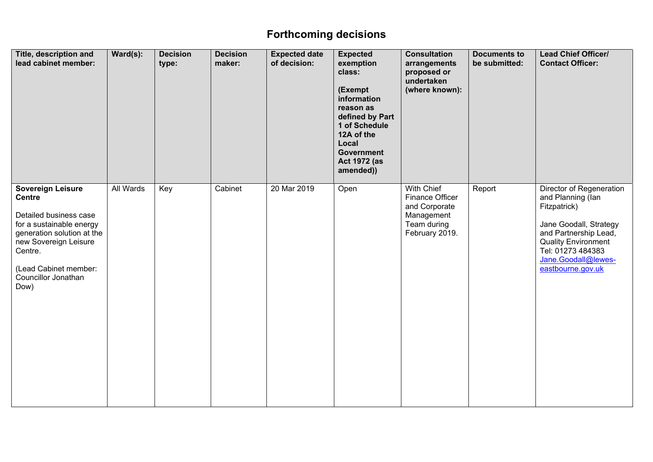| Title, description and<br>lead cabinet member:                                                                                                                                                                            | $\textsf{Ward}(s)$ : | <b>Decision</b><br>type: | <b>Decision</b><br>maker: | <b>Expected date</b><br>of decision: | <b>Expected</b><br>exemption<br>class:<br>(Exempt<br>information<br>reason as<br>defined by Part<br>1 of Schedule<br>12A of the<br>Local<br><b>Government</b><br><b>Act 1972 (as</b><br>amended)) | <b>Consultation</b><br>arrangements<br>proposed or<br>undertaken<br>(where known):            | <b>Documents to</b><br>be submitted: | <b>Lead Chief Officer/</b><br><b>Contact Officer:</b>                                                                                                                                                           |
|---------------------------------------------------------------------------------------------------------------------------------------------------------------------------------------------------------------------------|----------------------|--------------------------|---------------------------|--------------------------------------|---------------------------------------------------------------------------------------------------------------------------------------------------------------------------------------------------|-----------------------------------------------------------------------------------------------|--------------------------------------|-----------------------------------------------------------------------------------------------------------------------------------------------------------------------------------------------------------------|
| <b>Sovereign Leisure</b><br><b>Centre</b><br>Detailed business case<br>for a sustainable energy<br>generation solution at the<br>new Sovereign Leisure<br>Centre.<br>(Lead Cabinet member:<br>Councillor Jonathan<br>Dow) | <b>All Wards</b>     | Key                      | Cabinet                   | 20 Mar 2019                          | Open                                                                                                                                                                                              | With Chief<br>Finance Officer<br>and Corporate<br>Management<br>Team during<br>February 2019. | Report                               | Director of Regeneration<br>and Planning (lan<br>Fitzpatrick)<br>Jane Goodall, Strategy<br>and Partnership Lead,<br><b>Quality Environment</b><br>Tel: 01273 484383<br>Jane.Goodall@lewes-<br>eastbourne.gov.uk |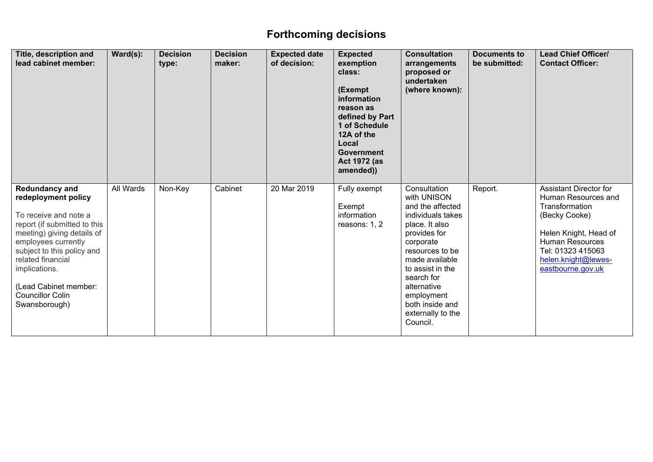| Title, description and<br>lead cabinet member:                                                                                                                                                                                                                                                      | $\textsf{Ward}(s)$ : | <b>Decision</b><br>type: | <b>Decision</b><br>maker: | <b>Expected date</b><br>of decision: | <b>Expected</b><br>exemption<br>class:<br>(Exempt)<br>information<br>reason as<br>defined by Part<br>1 of Schedule<br>12A of the<br>Local<br><b>Government</b><br><b>Act 1972 (as</b><br>amended)) | <b>Consultation</b><br>arrangements<br>proposed or<br>undertaken<br>(where known):                                                                                                                                                                                          | <b>Documents to</b><br>be submitted: | <b>Lead Chief Officer/</b><br><b>Contact Officer:</b>                                                                                                                                                       |
|-----------------------------------------------------------------------------------------------------------------------------------------------------------------------------------------------------------------------------------------------------------------------------------------------------|----------------------|--------------------------|---------------------------|--------------------------------------|----------------------------------------------------------------------------------------------------------------------------------------------------------------------------------------------------|-----------------------------------------------------------------------------------------------------------------------------------------------------------------------------------------------------------------------------------------------------------------------------|--------------------------------------|-------------------------------------------------------------------------------------------------------------------------------------------------------------------------------------------------------------|
| <b>Redundancy and</b><br>redeployment policy<br>To receive and note a<br>report (if submitted to this<br>meeting) giving details of<br>employees currently<br>subject to this policy and<br>related financial<br>implications.<br>(Lead Cabinet member:<br><b>Councillor Colin</b><br>Swansborough) | All Wards            | Non-Key                  | Cabinet                   | 20 Mar 2019                          | Fully exempt<br>Exempt<br>information<br>reasons: 1, 2                                                                                                                                             | Consultation<br>with UNISON<br>and the affected<br>individuals takes<br>place. It also<br>provides for<br>corporate<br>resources to be<br>made available<br>to assist in the<br>search for<br>alternative<br>employment<br>both inside and<br>externally to the<br>Council. | Report.                              | <b>Assistant Director for</b><br>Human Resources and<br>Transformation<br>(Becky Cooke)<br>Helen Knight, Head of<br><b>Human Resources</b><br>Tel: 01323 415063<br>helen.knight@lewes-<br>eastbourne.gov.uk |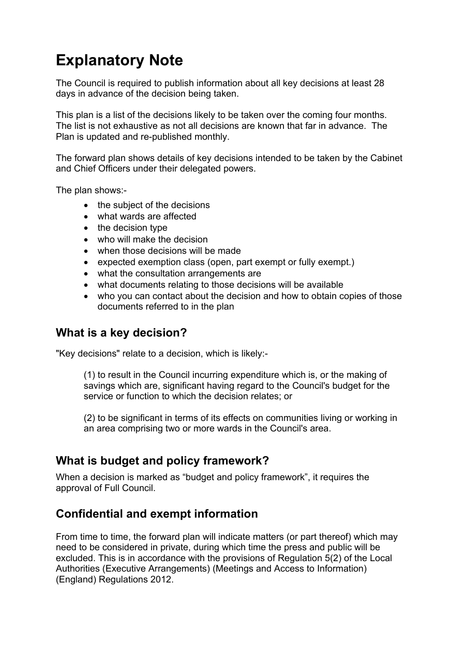## **Explanatory Note**

The Council is required to publish information about all key decisions at least 28 days in advance of the decision being taken.

This plan is a list of the decisions likely to be taken over the coming four months. The list is not exhaustive as not all decisions are known that far in advance. The Plan is updated and re-published monthly.

The forward plan shows details of key decisions intended to be taken by the Cabinet and Chief Officers under their delegated powers.

The plan shows:-

- $\bullet$  the subject of the decisions
- what wards are affected
- $\bullet$  the decision type
- who will make the decision
- when those decisions will be made
- expected exemption class (open, part exempt or fully exempt.)
- what the consultation arrangements are
- what documents relating to those decisions will be available
- who you can contact about the decision and how to obtain copies of those documents referred to in the plan

#### **What is a key decision?**

"Key decisions" relate to a decision, which is likely:-

(1) to result in the Council incurring expenditure which is, or the making of savings which are, significant having regard to the Council's budget for the service or function to which the decision relates; or

(2) to be significant in terms of its effects on communities living or working in an area comprising two or more wards in the Council's area.

#### **What is budget and policy framework?**

When a decision is marked as "budget and policy framework", it requires the approval of Full Council.

#### **Confidential and exempt information**

From time to time, the forward plan will indicate matters (or part thereof) which may need to be considered in private, during which time the press and public will be excluded. This is in accordance with the provisions of Regulation 5(2) of the Local Authorities (Executive Arrangements) (Meetings and Access to Information) (England) Regulations 2012.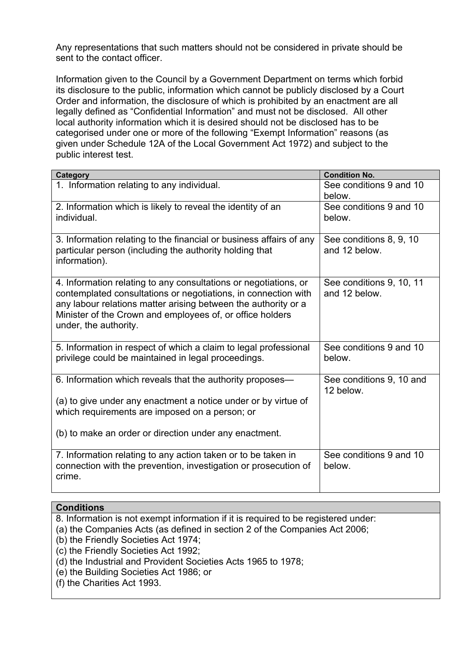Any representations that such matters should not be considered in private should be sent to the contact officer.

Information given to the Council by a Government Department on terms which forbid its disclosure to the public, information which cannot be publicly disclosed by a Court Order and information, the disclosure of which is prohibited by an enactment are all legally defined as "Confidential Information" and must not be disclosed. All other local authority information which it is desired should not be disclosed has to be categorised under one or more of the following "Exempt Information" reasons (as given under Schedule 12A of the Local Government Act 1972) and subject to the public interest test.

| Category                                                                                                                                                                                                                                                                                   | <b>Condition No.</b>                      |
|--------------------------------------------------------------------------------------------------------------------------------------------------------------------------------------------------------------------------------------------------------------------------------------------|-------------------------------------------|
| 1. Information relating to any individual.                                                                                                                                                                                                                                                 | See conditions 9 and 10<br>below.         |
| 2. Information which is likely to reveal the identity of an<br>individual.                                                                                                                                                                                                                 | See conditions 9 and 10<br>below.         |
| 3. Information relating to the financial or business affairs of any<br>particular person (including the authority holding that<br>information).                                                                                                                                            | See conditions 8, 9, 10<br>and 12 below.  |
| 4. Information relating to any consultations or negotiations, or<br>contemplated consultations or negotiations, in connection with<br>any labour relations matter arising between the authority or a<br>Minister of the Crown and employees of, or office holders<br>under, the authority. | See conditions 9, 10, 11<br>and 12 below. |
| 5. Information in respect of which a claim to legal professional<br>privilege could be maintained in legal proceedings.                                                                                                                                                                    | See conditions 9 and 10<br>below.         |
| 6. Information which reveals that the authority proposes—<br>(a) to give under any enactment a notice under or by virtue of<br>which requirements are imposed on a person; or                                                                                                              | See conditions 9, 10 and<br>12 below.     |
| (b) to make an order or direction under any enactment.                                                                                                                                                                                                                                     |                                           |
| 7. Information relating to any action taken or to be taken in<br>connection with the prevention, investigation or prosecution of<br>crime.                                                                                                                                                 | See conditions 9 and 10<br>below.         |

#### **Conditions**

8. Information is not exempt information if it is required to be registered under:

- (a) the Companies Acts (as defined in section 2 of the Companies Act 2006;
- (b) the Friendly Societies Act 1974;
- (c) the Friendly Societies Act 1992;
- (d) the Industrial and Provident Societies Acts 1965 to 1978;
- (e) the Building Societies Act 1986; or
- (f) the Charities Act 1993.